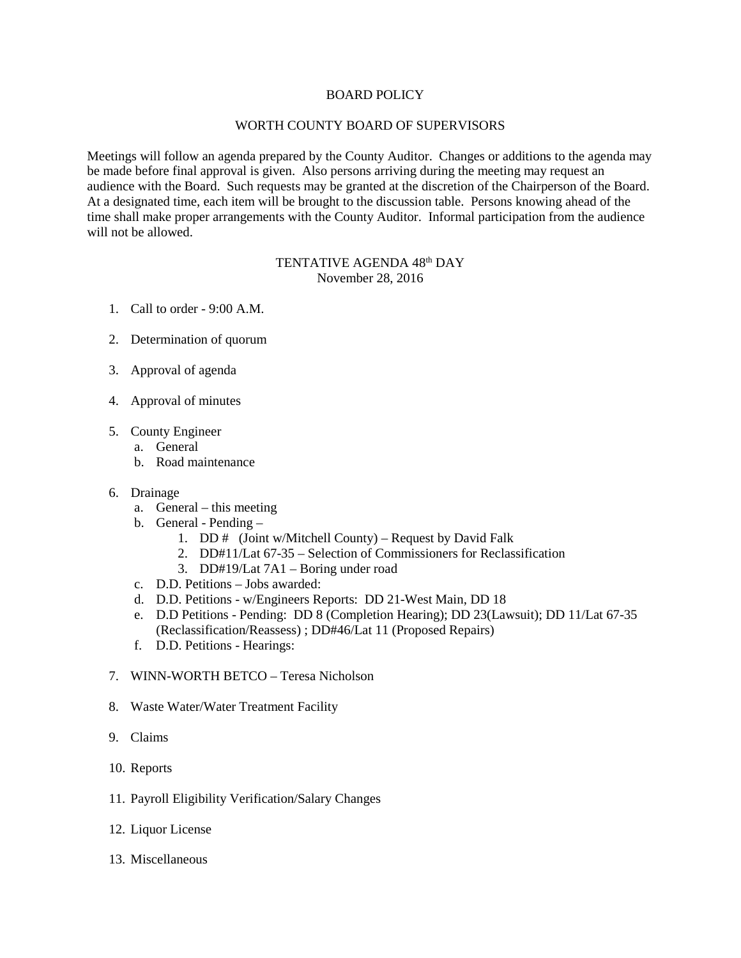## BOARD POLICY

## WORTH COUNTY BOARD OF SUPERVISORS

Meetings will follow an agenda prepared by the County Auditor. Changes or additions to the agenda may be made before final approval is given. Also persons arriving during the meeting may request an audience with the Board. Such requests may be granted at the discretion of the Chairperson of the Board. At a designated time, each item will be brought to the discussion table. Persons knowing ahead of the time shall make proper arrangements with the County Auditor. Informal participation from the audience will not be allowed.

## TENTATIVE AGENDA 48<sup>th</sup> DAY November 28, 2016

- 1. Call to order 9:00 A.M.
- 2. Determination of quorum
- 3. Approval of agenda
- 4. Approval of minutes
- 5. County Engineer
	- a. General
	- b. Road maintenance
- 6. Drainage
	- a. General this meeting
	- b. General Pending
		- 1. DD  $#$  (Joint w/Mitchell County) Request by David Falk
		- 2. DD#11/Lat 67-35 Selection of Commissioners for Reclassification
		- 3. DD#19/Lat 7A1 Boring under road
	- c. D.D. Petitions Jobs awarded:
	- d. D.D. Petitions w/Engineers Reports: DD 21-West Main, DD 18
	- e. D.D Petitions Pending: DD 8 (Completion Hearing); DD 23(Lawsuit); DD 11/Lat 67-35 (Reclassification/Reassess) ; DD#46/Lat 11 (Proposed Repairs)
	- f. D.D. Petitions Hearings:
- 7. WINN-WORTH BETCO Teresa Nicholson
- 8. Waste Water/Water Treatment Facility
- 9. Claims
- 10. Reports
- 11. Payroll Eligibility Verification/Salary Changes
- 12. Liquor License
- 13. Miscellaneous